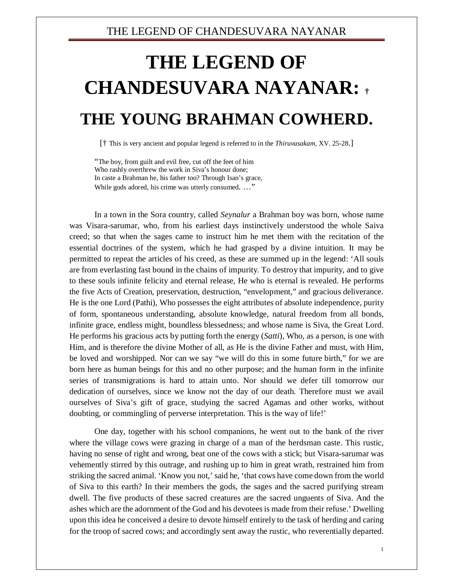## THE LEGEND OF CHANDESUVARA NAYANAR

## **THE LEGEND OF CHANDESUVARA NAYANAR: † THE YOUNG BRAHMAN COWHERD.**

[† This is very ancient and popular legend is referred to in the *Thiruvasakam*, XV. 25-28.]

"The boy, from guilt and evil free, cut off the feet of him Who rashly overthrew the work in Siva's honour done; In caste a Brahman he, his father too? Through Isan's grace, While gods adored, his crime was utterly consumed. ..."

In a town in the Sora country, called *Seynalur* a Brahman boy was born, whose name was Visara-sarumar, who, from his earliest days instinctively understood the whole Saiva creed; so that when the sages came to instruct him he met them with the recitation of the essential doctrines of the system, which he had grasped by a divine intuition. It may be permitted to repeat the articles of his creed, as these are summed up in the legend: 'All souls are from everlasting fast bound in the chains of impurity. To destroy that impurity, and to give to these souls infinite felicity and eternal release, He who is eternal is revealed. He performs the five Acts of Creation, preservation, destruction, "envelopment," and gracious deliverance. He is the one Lord (Pathi), Who possesses the eight attributes of absolute independence, purity of form, spontaneous understanding, absolute knowledge, natural freedom from all bonds, infinite grace, endless might, boundless blessedness; and whose name is Siva, the Great Lord. He performs his gracious acts by putting forth the energy (*Satti*), Who, as a person, is one with Him, and is therefore the divine Mother of all, as He is the divine Father and must, with Him, be loved and worshipped. Nor can we say "we will do this in some future birth," for we are born here as human beings for this and no other purpose; and the human form in the infinite series of transmigrations is hard to attain unto. Nor should we defer till tomorrow our dedication of ourselves, since we know not the day of our death. Therefore must we avail ourselves of Siva's gift of grace, studying the sacred Agamas and other works, without doubting, or commingling of perverse interpretation. This is the way of life!'

One day, together with his school companions, he went out to the bank of the river where the village cows were grazing in charge of a man of the herdsman caste. This rustic, having no sense of right and wrong, beat one of the cows with a stick; but Visara-sarumar was vehemently stirred by this outrage, and rushing up to him in great wrath, restrained him from striking the sacred animal. 'Know you not,' said he, 'that cows have come down from the world of Siva to this earth? In their members the gods, the sages and the sacred purifying stream dwell. The five products of these sacred creatures are the sacred unguents of Siva. And the ashes which are the adornment of the God and his devotees is made from their refuse.' Dwelling upon this idea he conceived a desire to devote himself entirely to the task of herding and caring for the troop of sacred cows; and accordingly sent away the rustic, who reverentially departed.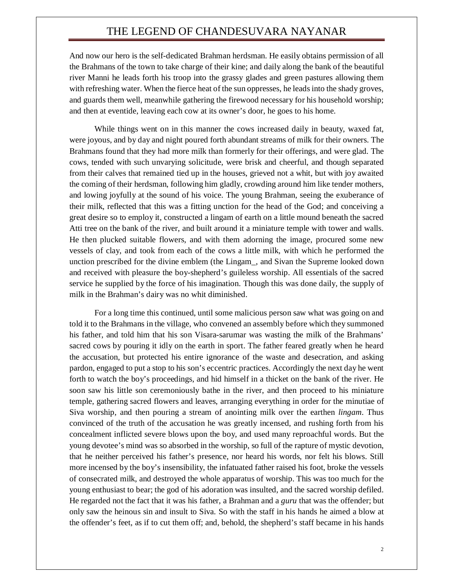## THE LEGEND OF CHANDESUVARA NAYANAR

And now our hero is the self-dedicated Brahman herdsman. He easily obtains permission of all the Brahmans of the town to take charge of their kine; and daily along the bank of the beautiful river Manni he leads forth his troop into the grassy glades and green pastures allowing them with refreshing water. When the fierce heat of the sun oppresses, he leads into the shady groves, and guards them well, meanwhile gathering the firewood necessary for his household worship; and then at eventide, leaving each cow at its owner's door, he goes to his home.

While things went on in this manner the cows increased daily in beauty, waxed fat, were joyous, and by day and night poured forth abundant streams of milk for their owners. The Brahmans found that they had more milk than formerly for their offerings, and were glad. The cows, tended with such unvarying solicitude, were brisk and cheerful, and though separated from their calves that remained tied up in the houses, grieved not a whit, but with joy awaited the coming of their herdsman, following him gladly, crowding around him like tender mothers, and lowing joyfully at the sound of his voice. The young Brahman, seeing the exuberance of their milk, reflected that this was a fitting unction for the head of the God; and conceiving a great desire so to employ it, constructed a lingam of earth on a little mound beneath the sacred Atti tree on the bank of the river, and built around it a miniature temple with tower and walls. He then plucked suitable flowers, and with them adorning the image, procured some new vessels of clay, and took from each of the cows a little milk, with which he performed the unction prescribed for the divine emblem (the Lingam\_, and Sivan the Supreme looked down and received with pleasure the boy-shepherd's guileless worship. All essentials of the sacred service he supplied by the force of his imagination. Though this was done daily, the supply of milk in the Brahman's dairy was no whit diminished.

For a long time this continued, until some malicious person saw what was going on and told it to the Brahmans in the village, who convened an assembly before which they summoned his father, and told him that his son Visara-sarumar was wasting the milk of the Brahmans' sacred cows by pouring it idly on the earth in sport. The father feared greatly when he heard the accusation, but protected his entire ignorance of the waste and desecration, and asking pardon, engaged to put a stop to his son's eccentric practices. Accordingly the next day he went forth to watch the boy's proceedings, and hid himself in a thicket on the bank of the river. He soon saw his little son ceremoniously bathe in the river, and then proceed to his miniature temple, gathering sacred flowers and leaves, arranging everything in order for the minutiae of Siva worship, and then pouring a stream of anointing milk over the earthen *lingam*. Thus convinced of the truth of the accusation he was greatly incensed, and rushing forth from his concealment inflicted severe blows upon the boy, and used many reproachful words. But the young devotee's mind was so absorbed in the worship, so full of the rapture of mystic devotion, that he neither perceived his father's presence, nor heard his words, nor felt his blows. Still more incensed by the boy's insensibility, the infatuated father raised his foot, broke the vessels of consecrated milk, and destroyed the whole apparatus of worship. This was too much for the young enthusiast to bear; the god of his adoration was insulted, and the sacred worship defiled. He regarded not the fact that it was his father, a Brahman and a *guru* that was the offender; but only saw the heinous sin and insult to Siva. So with the staff in his hands he aimed a blow at the offender's feet, as if to cut them off; and, behold, the shepherd's staff became in his hands